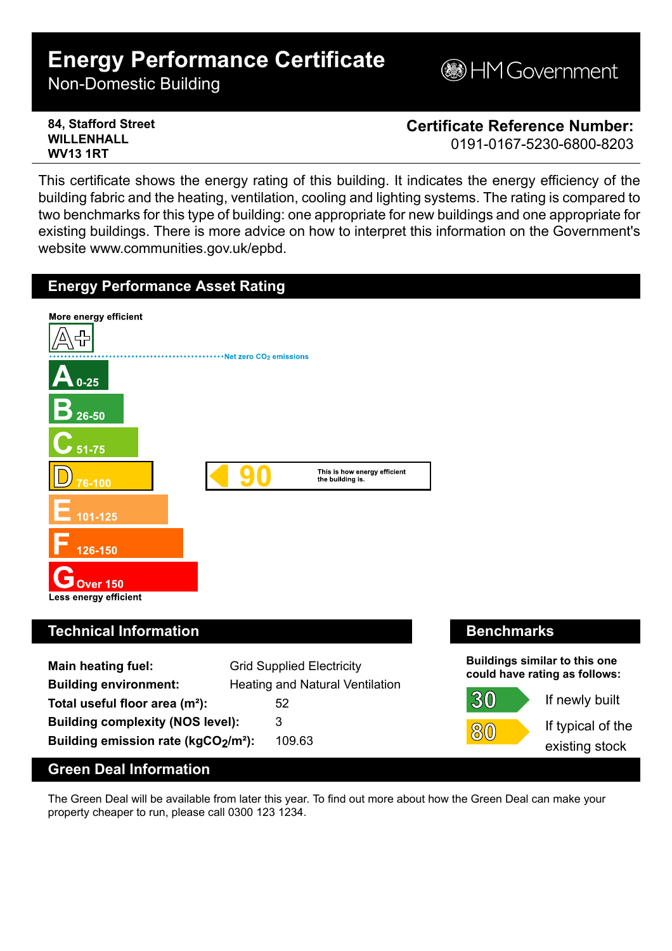# **Energy Performance Certificate**

Non-Domestic Building

**MGovernment** 

#### **84, Stafford Street WILLENHALL WV13 1RT**

**Certificate Reference Number:**

0191-0167-5230-6800-8203

If typical of the existing stock

 $\mathcal{B}(0)$ 

This certificate shows the energy rating of this building. It indicates the energy efficiency of the building fabric and the heating, ventilation, cooling and lighting systems. The rating is compared to two benchmarks for this type of building: one appropriate for new buildings and one appropriate for existing buildings. There is more advice on how to interpret this information on the Government's website www.communities.gov.uk/epbd.



**Total useful floor area (m²):** 52 **Building complexity (NOS level):** 3 **Building emission rate (kgCO2/m²):** 109.63

## **Green Deal Information**

The Green Deal will be available from later this year. To find out more about how the Green Deal can make your property cheaper to run, please call 0300 123 1234.